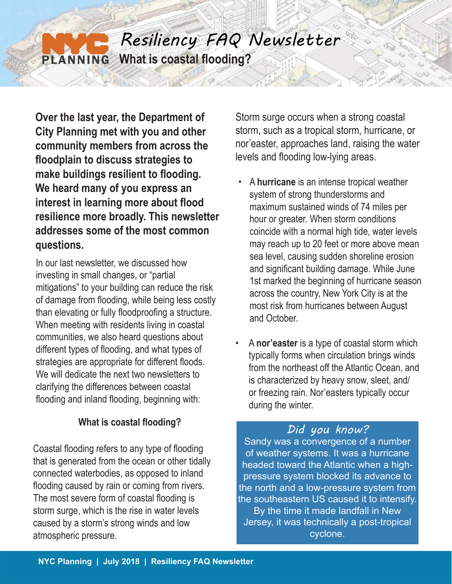# *Resiliency FAQ Newsletter* **What is coastal flooding?**  PLANNING

**Over the last year, the Department of City Planning met with you and other community members from across the floodplain to discuss strategies to make buildings resilient to flooding. We heard many of you express an interest in learning more about flood resilience more broadly. This newsletter addresses some of the most common questions.**

In our last newsletter, we discussed how investing in small changes, or "partial mitigations" to your building can reduce the risk of damage from flooding, while being less costly than elevating or fully floodproofing a structure. When meeting with residents living in coastal communities, we also heard questions about different types of flooding, and what types of strategies are appropriate for different floods. We will dedicate the next two newsletters to clarifying the differences between coastal flooding and inland flooding, beginning with:

# **What is coastal flooding?**

Coastal flooding refers to any type of flooding that is generated from the ocean or other tidally connected waterbodies, as opposed to inland flooding caused by rain or coming from rivers. The most severe form of coastal flooding is storm surge, which is the rise in water levels caused by a storm's strong winds and low atmospheric pressure.

Storm surge occurs when a strong coastal storm, such as a tropical storm, hurricane, or nor'easter, approaches land, raising the water levels and flooding low-lying areas.

- A **hurricane** is an intense tropical weather system of strong thunderstorms and maximum sustained winds of 74 miles per hour or greater. When storm conditions coincide with a normal high tide, water levels may reach up to 20 feet or more above mean sea level, causing sudden shoreline erosion and significant building damage. While June 1st marked the beginning of hurricane season across the country, New York City is at the most risk from hurricanes between August and October.
- A **nor'easter** is a type of coastal storm which typically forms when circulation brings winds from the northeast off the Atlantic Ocean, and is characterized by heavy snow, sleet, and/ or freezing rain. Nor'easters typically occur during the winter.

# *Did you know?*

Sandy was a convergence of a number of weather systems. It was a hurricane headed toward the Atlantic when a highpressure system blocked its advance to the north and a low-pressure system from the southeastern US caused it to intensify. By the time it made landfall in New Jersey, it was technically a post-tropical cyclone.